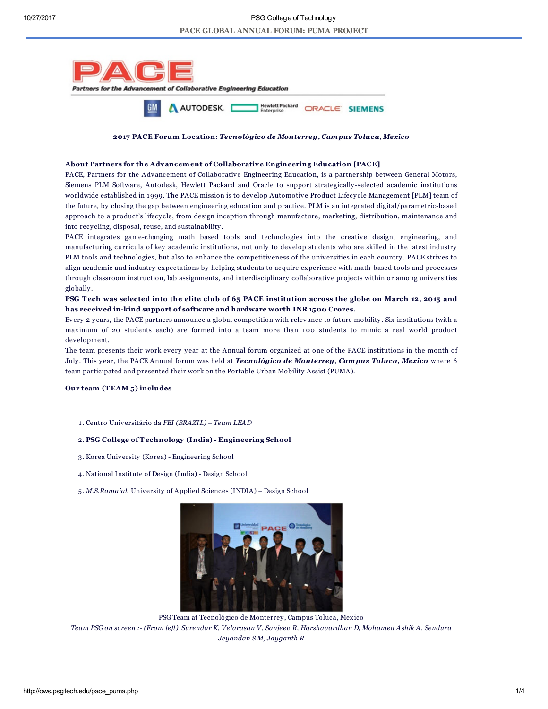

### 2017 PACE Forum Location: *Tecnológico de Monterrey*, *Campus Toluca, Mexico*

### About Partners for the Advancement of Collaborative Engineering Education [PACE]

PACE, Partners for the Advancement of Collaborative Engineering Education, is a partnership between General Motors, Siemens PLM Software, Autodesk, Hewlett Packard and Oracle to support strategically -selected academic institutions worldwide established in 1999. The PACE mission is to develop Automotive Product Lifecy cle Management [PLM] team of the future, by closing the gap between engineering education and practice. PLM is an integrated digital/parametric-based approach to a product's lifecy cle, from design inception through manufacture, marketing, distribution, maintenance and into recy cling, disposal, reuse, and sustainability .

PACE integrates game-changing math based tools and technologies into the creative design, engineering, and manufacturing curricula of key academic institutions, not only to develop students who are skilled in the latest industry PLM tools and technologies, but also to enhance the competitiveness of the universities in each country . PACE strives to align academic and industry expectations by helping students to acquire experience with math-based tools and processes through classroom instruction, lab assignments, and interdisciplinary collaborative projects within or among universities globally .

# PSG Tech was selected into the elite club of 65 PACE institution across the globe on March 12, 2015 and has received in-kind support of software and hardware worth INR 1500 Crores.

Every 2 y ears, the PACE partners announce a global competition with relevance to future mobility . Six institutions (with a maximum of 20 students each) are formed into a team more than 100 students to mimic a real world product development.

The team presents their work every y ear at the Annual forum organized at one of the PACE institutions in the month of July . This y ear, the PACE Annual forum was held at *Tecnológico de Monterrey*, *Campus Toluca, Mexico* where 6 team participated and presented their work on the Portable Urban Mobility Assist (PUMA).

## Our team (T EAM 5) includes

1 . Centro Universitário da *FEI (BRAZIL) – Team LEAD*

## 2. PSG College of Technology (India) - Engineering School

- 3. Korea University (Korea) Engineering School
- 4. National Institute of Design (India) Design School
- 5. *M.S.Ramaiah* University of Applied Sciences (INDIA) Design School



PSG Team at Tecnológico de Monterrey , Campus Toluca, Mexico Team PSG on screen :- (From left) Surendar K, Velarasan V, Sanjeev R, Harshavardhan D, Mohamed Ashik A, Sendura *Jeyandan S M, Jayganth R*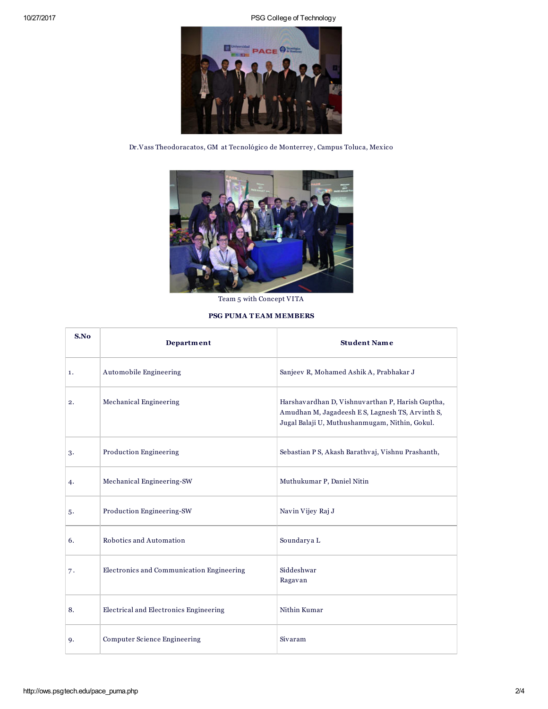10/27/2017 PSG College of Technology



Dr.Vass Theodoracatos, GM at Tecnológico de Monterrey , Campus Toluca, Mexico



Team 5 with Concept VITA

# PSG PUMA T EAM MEMBERS

| S.No | Department                                | <b>Student Name</b>                                                                                                                                   |
|------|-------------------------------------------|-------------------------------------------------------------------------------------------------------------------------------------------------------|
| 1.   | Automobile Engineering                    | Sanjeev R, Mohamed Ashik A, Prabhakar J                                                                                                               |
| 2.   | Mechanical Engineering                    | Harshavardhan D, Vishnuvarthan P, Harish Guptha,<br>Amudhan M, Jagadeesh ES, Lagnesh TS, Arvinth S,<br>Jugal Balaji U, Muthushanmugam, Nithin, Gokul. |
| 3.   | <b>Production Engineering</b>             | Sebastian P S, Akash Barathvaj, Vishnu Prashanth,                                                                                                     |
| 4.   | Mechanical Engineering-SW                 | Muthukumar P, Daniel Nitin                                                                                                                            |
| 5.   | Production Engineering-SW                 | Navin Vijey Raj J                                                                                                                                     |
| 6.   | Robotics and Automation                   | Soundarya L                                                                                                                                           |
| 7.   | Electronics and Communication Engineering | Siddeshwar<br>Ragavan                                                                                                                                 |
| 8.   | Electrical and Electronics Engineering    | Nithin Kumar                                                                                                                                          |
| 9.   | <b>Computer Science Engineering</b>       | Sivaram                                                                                                                                               |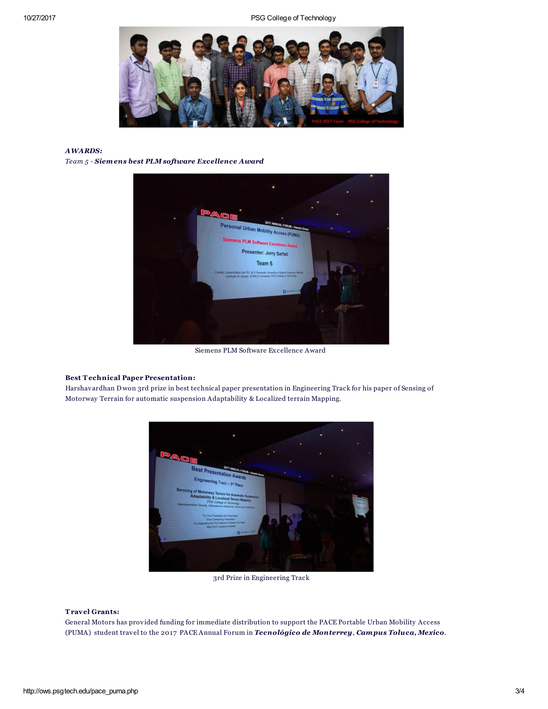10/27/2017 PSG College of Technology



## *AWARDS:*

*Team 5 - Siemens best PLM software Excellence Award*



Siemens PLM Software Excellence Award

# Best Technical Paper Presentation:

Harshavardhan D won 3rd prize in best technical paper presentation in Engineering Track for his paper of Sensing of Motorway Terrain for automatic suspension Adaptability & Localized terrain Mapping.



3rd Prize in Engineering Track

#### Travel Grants:

General Motors has provided funding for immediate distribution to support the PACE Portable Urban Mobility Access (PUMA) student travel to the 2017 PACE Annual Forum in *Tecnológico de Monterrey*, *Campus Toluca, Mexico*.